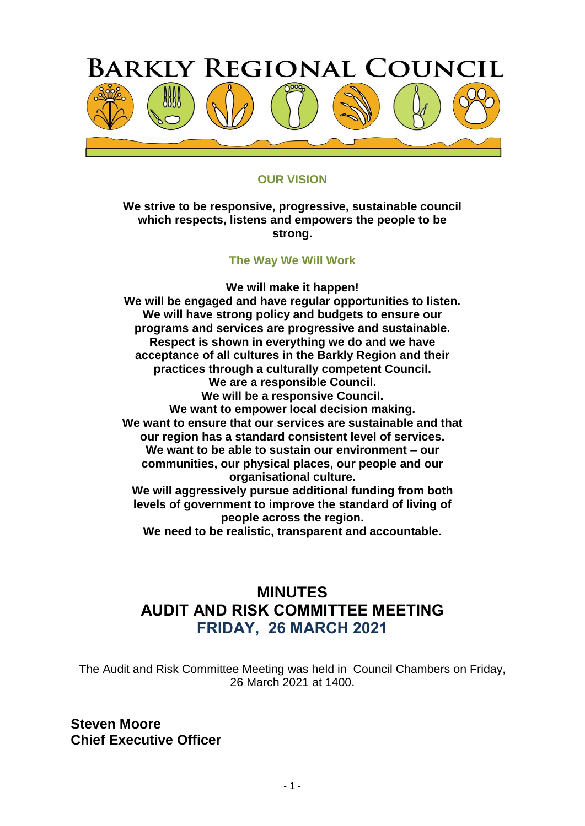

## **OUR VISION**

**We strive to be responsive, progressive, sustainable council which respects, listens and empowers the people to be strong.** 

#### **The Way We Will Work**

**We will make it happen! We will be engaged and have regular opportunities to listen. We will have strong policy and budgets to ensure our programs and services are progressive and sustainable. Respect is shown in everything we do and we have acceptance of all cultures in the Barkly Region and their practices through a culturally competent Council. We are a responsible Council. We will be a responsive Council. We want to empower local decision making. We want to ensure that our services are sustainable and that our region has a standard consistent level of services. We want to be able to sustain our environment – our communities, our physical places, our people and our organisational culture. We will aggressively pursue additional funding from both levels of government to improve the standard of living of people across the region.**

**We need to be realistic, transparent and accountable.**

# **MINUTES AUDIT AND RISK COMMITTEE MEETING FRIDAY, 26 MARCH 2021**

The Audit and Risk Committee Meeting was held in Council Chambers on Friday, 26 March 2021 at 1400.

**Steven Moore Chief Executive Officer**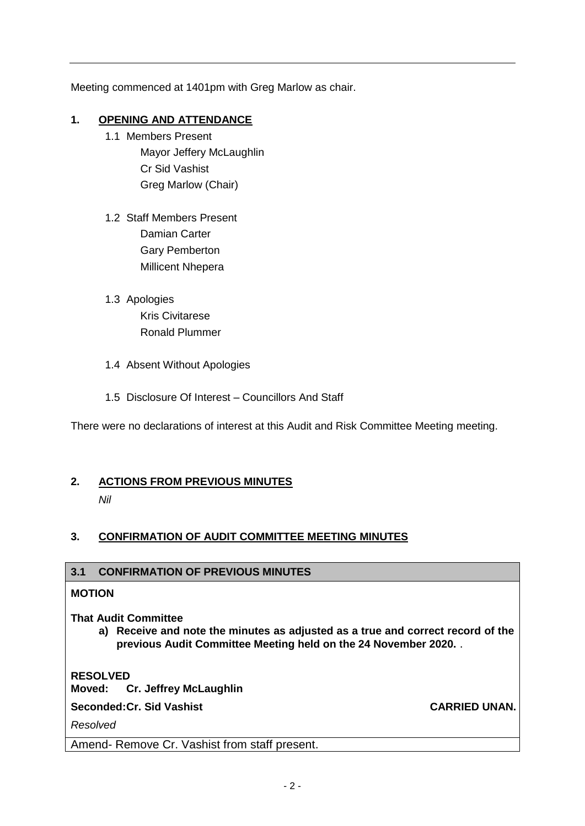Meeting commenced at 1401pm with Greg Marlow as chair.

## **1. OPENING AND ATTENDANCE**

- 1.1 Members Present Mayor Jeffery McLaughlin Cr Sid Vashist Greg Marlow (Chair)
- 1.2 Staff Members Present Damian Carter Gary Pemberton Millicent Nhepera
- 1.3 Apologies Kris Civitarese Ronald Plummer
- 1.4 Absent Without Apologies
- 1.5 Disclosure Of Interest Councillors And Staff

There were no declarations of interest at this Audit and Risk Committee Meeting meeting.

### **2. ACTIONS FROM PREVIOUS MINUTES**

*Nil* 

## **3. CONFIRMATION OF AUDIT COMMITTEE MEETING MINUTES**

### **3.1 CONFIRMATION OF PREVIOUS MINUTES**

#### **MOTION**

### **That Audit Committee**

**a) Receive and note the minutes as adjusted as a true and correct record of the previous Audit Committee Meeting held on the 24 November 2020.** .

**RESOLVED**

**Moved: Cr. Jeffrey McLaughlin**

**Seconded:Cr. Sid Vashist CARRIED UNAN.**

*Resolved*

Amend- Remove Cr. Vashist from staff present.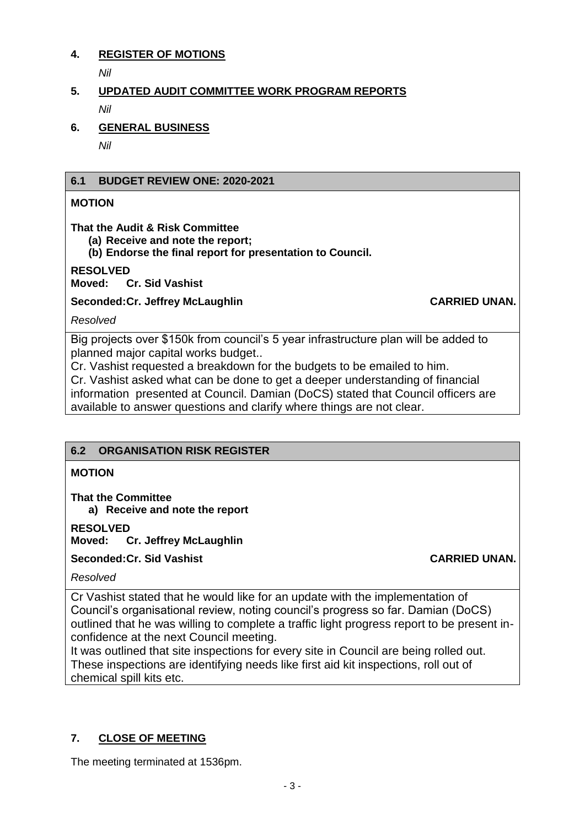### **4. REGISTER OF MOTIONS**

*Nil* 

# **5. UPDATED AUDIT COMMITTEE WORK PROGRAM REPORTS** *Nil*

**6. GENERAL BUSINESS**

*Nil* 

## **6.1 BUDGET REVIEW ONE: 2020-2021**

## **MOTION**

**That the Audit & Risk Committee** 

**(a) Receive and note the report;**

**(b) Endorse the final report for presentation to Council.**

## **RESOLVED**

**Moved: Cr. Sid Vashist**

**Seconded:Cr. Jeffrey McLaughlin CARRIED UNAN.** 

*Resolved*

Big projects over \$150k from council's 5 year infrastructure plan will be added to planned major capital works budget..

Cr. Vashist requested a breakdown for the budgets to be emailed to him.

Cr. Vashist asked what can be done to get a deeper understanding of financial information presented at Council. Damian (DoCS) stated that Council officers are available to answer questions and clarify where things are not clear.

## **6.2 ORGANISATION RISK REGISTER**

## **MOTION**

**That the Committee**

**a) Receive and note the report**

**RESOLVED**

**Moved: Cr. Jeffrey McLaughlin**

**Seconded:Cr. Sid Vashist CARRIED UNAN.**

*Resolved*

Cr Vashist stated that he would like for an update with the implementation of Council's organisational review, noting council's progress so far. Damian (DoCS) outlined that he was willing to complete a traffic light progress report to be present inconfidence at the next Council meeting.

It was outlined that site inspections for every site in Council are being rolled out. These inspections are identifying needs like first aid kit inspections, roll out of chemical spill kits etc.

# **7. CLOSE OF MEETING**

The meeting terminated at 1536pm.